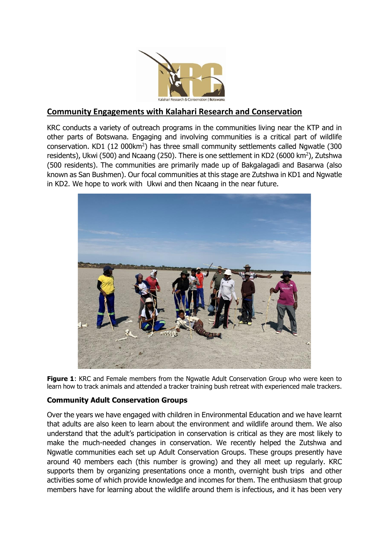

## **Community Engagements with Kalahari Research and Conservation**

KRC conducts a variety of outreach programs in the communities living near the KTP and in other parts of Botswana. Engaging and involving communities is a critical part of wildlife conservation. KD1 (12 000km<sup>2</sup>) has three small community settlements called Ngwatle (300 residents), Ukwi (500) and Ncaang (250). There is one settlement in KD2 (6000 km<sup>2</sup>), Zutshwa (500 residents). The communities are primarily made up of Bakgalagadi and Basarwa (also known as San Bushmen). Our focal communities at this stage are Zutshwa in KD1 and Ngwatle in KD2. We hope to work with Ukwi and then Ncaang in the near future.



**Figure 1**: KRC and Female members from the Ngwatle Adult Conservation Group who were keen to learn how to track animals and attended a tracker training bush retreat with experienced male trackers.

## **Community Adult Conservation Groups**

Over the years we have engaged with children in Environmental Education and we have learnt that adults are also keen to learn about the environment and wildlife around them. We also understand that the adult's participation in conservation is critical as they are most likely to make the much-needed changes in conservation. We recently helped the Zutshwa and Ngwatle communities each set up Adult Conservation Groups. These groups presently have around 40 members each (this number is growing) and they all meet up regularly. KRC supports them by organizing presentations once a month, overnight bush trips and other activities some of which provide knowledge and incomes for them. The enthusiasm that group members have for learning about the wildlife around them is infectious, and it has been very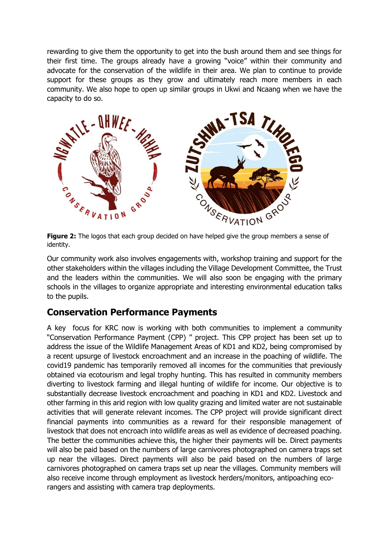rewarding to give them the opportunity to get into the bush around them and see things for their first time. The groups already have a growing "voice" within their community and advocate for the conservation of the wildlife in their area. We plan to continue to provide support for these groups as they grow and ultimately reach more members in each community. We also hope to open up similar groups in Ukwi and Ncaang when we have the capacity to do so.



**Figure 2:** The logos that each group decided on have helped give the group members a sense of identity.

Our community work also involves engagements with, workshop training and support for the other stakeholders within the villages including the Village Development Committee, the Trust and the leaders within the communities. We will also soon be engaging with the primary schools in the villages to organize appropriate and interesting environmental education talks to the pupils.

## **Conservation Performance Payments**

A key focus for KRC now is working with both communities to implement a community "Conservation Performance Payment (CPP) " project. This CPP project has been set up to address the issue of the Wildlife Management Areas of KD1 and KD2, being compromised by a recent upsurge of livestock encroachment and an increase in the poaching of wildlife. The covid19 pandemic has temporarily removed all incomes for the communities that previously obtained via ecotourism and legal trophy hunting. This has resulted in community members diverting to livestock farming and illegal hunting of wildlife for income. Our objective is to substantially decrease livestock encroachment and poaching in KD1 and KD2. Livestock and other farming in this arid region with low quality grazing and limited water are not sustainable activities that will generate relevant incomes. The CPP project will provide significant direct financial payments into communities as a reward for their responsible management of livestock that does not encroach into wildlife areas as well as evidence of decreased poaching. The better the communities achieve this, the higher their payments will be. Direct payments will also be paid based on the numbers of large carnivores photographed on camera traps set up near the villages. Direct payments will also be paid based on the numbers of large carnivores photographed on camera traps set up near the villages. Community members will also receive income through employment as livestock herders/monitors, antipoaching ecorangers and assisting with camera trap deployments.